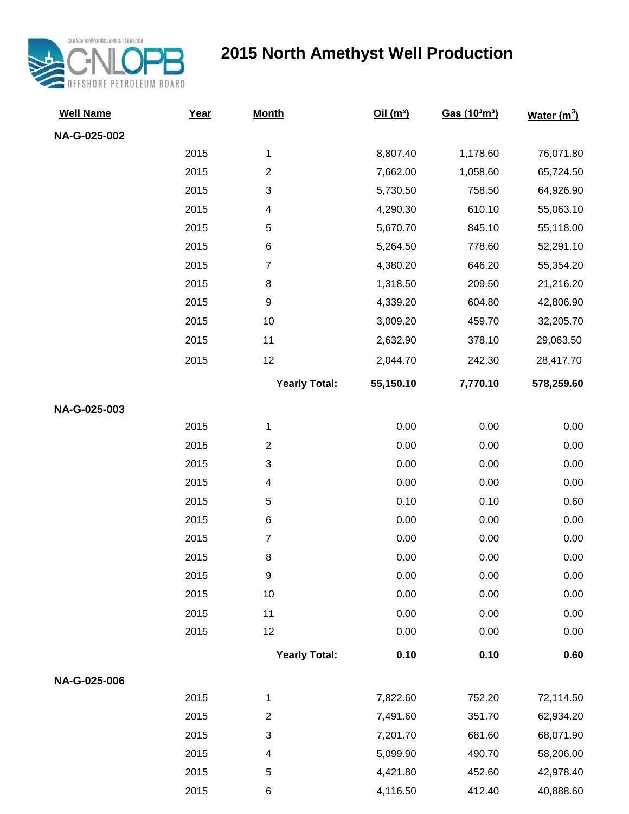

## **2015 North Amethyst Well Production**

| <b>Well Name</b> | Year | <b>Month</b>            | Oil(m <sup>3</sup> ) | Gas (10 <sup>3</sup> m <sup>3</sup> ) | <b>Water</b> $(m^3)$ |
|------------------|------|-------------------------|----------------------|---------------------------------------|----------------------|
| NA-G-025-002     |      |                         |                      |                                       |                      |
|                  | 2015 | 1                       | 8,807.40             | 1,178.60                              | 76,071.80            |
|                  | 2015 | $\overline{2}$          | 7,662.00             | 1,058.60                              | 65,724.50            |
|                  | 2015 | 3                       | 5,730.50             | 758.50                                | 64,926.90            |
|                  | 2015 | 4                       | 4,290.30             | 610.10                                | 55,063.10            |
|                  | 2015 | 5                       | 5,670.70             | 845.10                                | 55,118.00            |
|                  | 2015 | $\,6\,$                 | 5,264.50             | 778.60                                | 52,291.10            |
|                  | 2015 | $\overline{7}$          | 4,380.20             | 646.20                                | 55,354.20            |
|                  | 2015 | $\,8\,$                 | 1,318.50             | 209.50                                | 21,216.20            |
|                  | 2015 | $\boldsymbol{9}$        | 4,339.20             | 604.80                                | 42,806.90            |
|                  | 2015 | 10                      | 3,009.20             | 459.70                                | 32,205.70            |
|                  | 2015 | 11                      | 2,632.90             | 378.10                                | 29,063.50            |
|                  | 2015 | 12                      | 2,044.70             | 242.30                                | 28,417.70            |
|                  |      | <b>Yearly Total:</b>    | 55,150.10            | 7,770.10                              | 578,259.60           |
| NA-G-025-003     |      |                         |                      |                                       |                      |
|                  | 2015 | 1                       | 0.00                 | 0.00                                  | 0.00                 |
|                  | 2015 | $\overline{2}$          | 0.00                 | 0.00                                  | 0.00                 |
|                  | 2015 | 3                       | 0.00                 | 0.00                                  | 0.00                 |
|                  | 2015 | 4                       | 0.00                 | 0.00                                  | 0.00                 |
|                  | 2015 | 5                       | 0.10                 | 0.10                                  | 0.60                 |
|                  | 2015 | $\,6$                   | 0.00                 | 0.00                                  | 0.00                 |
|                  | 2015 | $\overline{7}$          | 0.00                 | 0.00                                  | 0.00                 |
|                  | 2015 | 8                       | 0.00                 | 0.00                                  | 0.00                 |
|                  | 2015 | 9                       | 0.00                 | 0.00                                  | 0.00                 |
|                  | 2015 | 10                      | 0.00                 | 0.00                                  | 0.00                 |
|                  | 2015 | 11                      | 0.00                 | 0.00                                  | 0.00                 |
|                  | 2015 | 12                      | 0.00                 | 0.00                                  | 0.00                 |
|                  |      | <b>Yearly Total:</b>    | 0.10                 | 0.10                                  | 0.60                 |
| NA-G-025-006     |      |                         |                      |                                       |                      |
|                  | 2015 | 1                       | 7,822.60             | 752.20                                | 72,114.50            |
|                  | 2015 | $\overline{\mathbf{c}}$ | 7,491.60             | 351.70                                | 62,934.20            |
|                  | 2015 | 3                       | 7,201.70             | 681.60                                | 68,071.90            |
|                  | 2015 | 4                       | 5,099.90             | 490.70                                | 58,206.00            |
|                  | 2015 | 5                       | 4,421.80             | 452.60                                | 42,978.40            |
|                  | 2015 | $\,6$                   | 4,116.50             | 412.40                                | 40,888.60            |